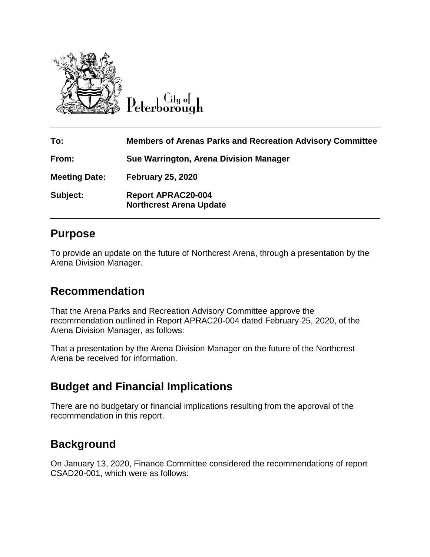

 $\mathbf{C}$ ity of Peterborough

| To:                  | <b>Members of Arenas Parks and Recreation Advisory Committee</b> |
|----------------------|------------------------------------------------------------------|
| From:                | Sue Warrington, Arena Division Manager                           |
| <b>Meeting Date:</b> | <b>February 25, 2020</b>                                         |
| Subject:             | <b>Report APRAC20-004</b><br><b>Northcrest Arena Update</b>      |

## **Purpose**

To provide an update on the future of Northcrest Arena, through a presentation by the Arena Division Manager.

## **Recommendation**

That the Arena Parks and Recreation Advisory Committee approve the recommendation outlined in Report APRAC20-004 dated February 25, 2020, of the Arena Division Manager, as follows:

That a presentation by the Arena Division Manager on the future of the Northcrest Arena be received for information.

## **Budget and Financial Implications**

There are no budgetary or financial implications resulting from the approval of the recommendation in this report.

## **Background**

On January 13, 2020, Finance Committee considered the recommendations of report CSAD20-001, which were as follows: